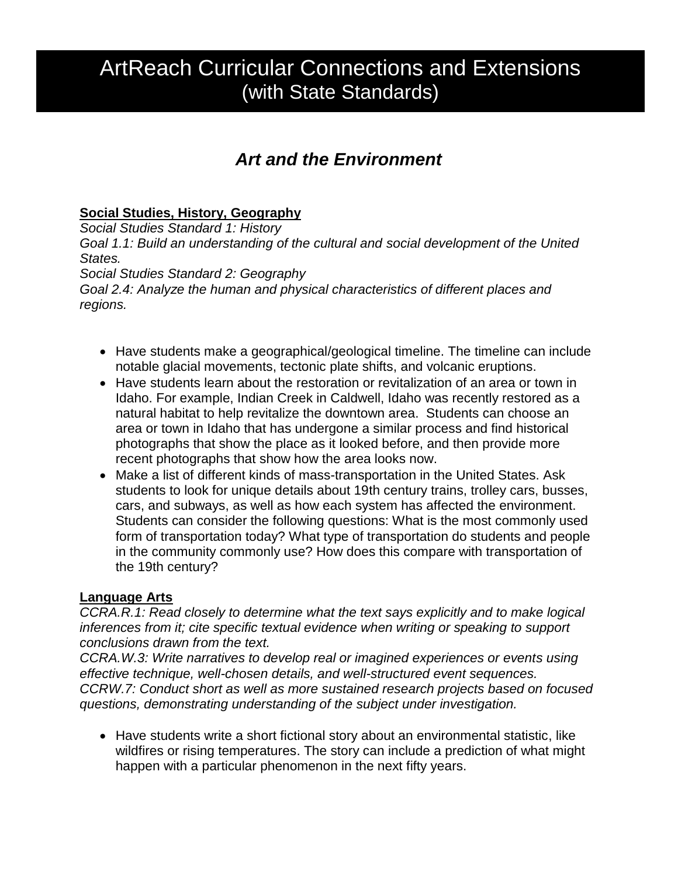# ArtReach Curricular Connections and Extensions (with State Standards)

# *Art and the Environment*

## **Social Studies, History, Geography**

*Social Studies Standard 1: History Goal 1.1: Build an understanding of the cultural and social development of the United States.*

*Social Studies Standard 2: Geography*

*Goal 2.4: Analyze the human and physical characteristics of different places and regions.*

- Have students make a geographical/geological timeline. The timeline can include notable glacial movements, tectonic plate shifts, and volcanic eruptions.
- Have students learn about the restoration or revitalization of an area or town in Idaho. For example, Indian Creek in Caldwell, Idaho was recently restored as a natural habitat to help revitalize the downtown area. Students can choose an area or town in Idaho that has undergone a similar process and find historical photographs that show the place as it looked before, and then provide more recent photographs that show how the area looks now.
- Make a list of different kinds of mass-transportation in the United States. Ask students to look for unique details about 19th century trains, trolley cars, busses, cars, and subways, as well as how each system has affected the environment. Students can consider the following questions: What is the most commonly used form of transportation today? What type of transportation do students and people in the community commonly use? How does this compare with transportation of the 19th century?

#### **Language Arts**

*CCRA.R.1: Read closely to determine what the text says explicitly and to make logical inferences from it; cite specific textual evidence when writing or speaking to support conclusions drawn from the text.*

*CCRA.W.3: Write narratives to develop real or imagined experiences or events using effective technique, well-chosen details, and well-structured event sequences. CCRW.7: Conduct short as well as more sustained research projects based on focused questions, demonstrating understanding of the subject under investigation.*

 Have students write a short fictional story about an environmental statistic, like wildfires or rising temperatures. The story can include a prediction of what might happen with a particular phenomenon in the next fifty years.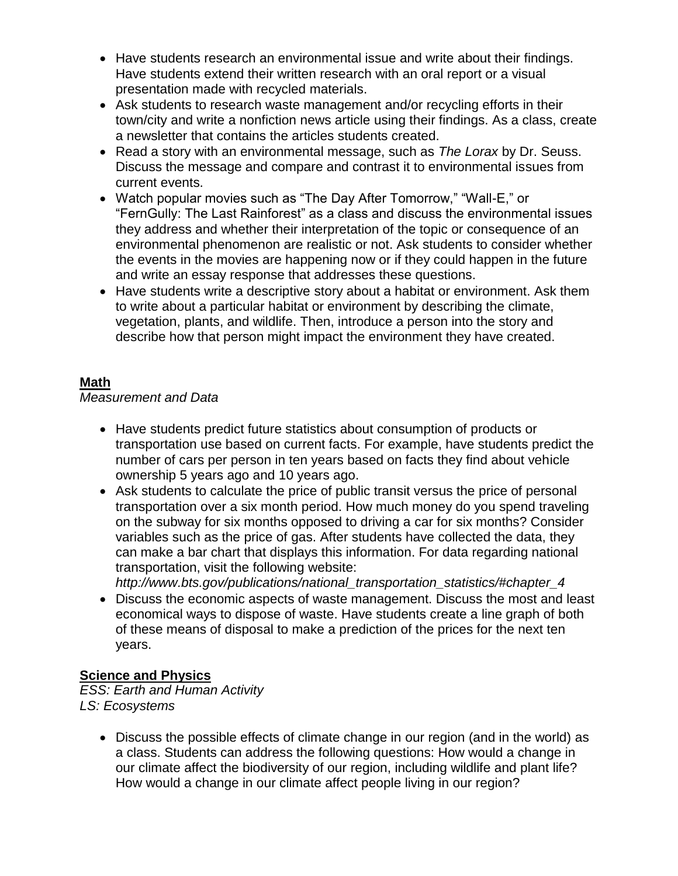- Have students research an environmental issue and write about their findings. Have students extend their written research with an oral report or a visual presentation made with recycled materials.
- Ask students to research waste management and/or recycling efforts in their town/city and write a nonfiction news article using their findings. As a class, create a newsletter that contains the articles students created.
- Read a story with an environmental message, such as *The Lorax* by Dr. Seuss. Discuss the message and compare and contrast it to environmental issues from current events.
- Watch popular movies such as "The Day After Tomorrow," "Wall-E," or "FernGully: The Last Rainforest" as a class and discuss the environmental issues they address and whether their interpretation of the topic or consequence of an environmental phenomenon are realistic or not. Ask students to consider whether the events in the movies are happening now or if they could happen in the future and write an essay response that addresses these questions.
- Have students write a descriptive story about a habitat or environment. Ask them to write about a particular habitat or environment by describing the climate, vegetation, plants, and wildlife. Then, introduce a person into the story and describe how that person might impact the environment they have created.

### **Math**

*Measurement and Data*

- Have students predict future statistics about consumption of products or transportation use based on current facts. For example, have students predict the number of cars per person in ten years based on facts they find about vehicle ownership 5 years ago and 10 years ago.
- Ask students to calculate the price of public transit versus the price of personal transportation over a six month period. How much money do you spend traveling on the subway for six months opposed to driving a car for six months? Consider variables such as the price of gas. After students have collected the data, they can make a bar chart that displays this information. For data regarding national transportation, visit the following website:
- *http://www.bts.gov/publications/national\_transportation\_statistics/#chapter\_4* Discuss the economic aspects of waste management. Discuss the most and least economical ways to dispose of waste. Have students create a line graph of both of these means of disposal to make a prediction of the prices for the next ten years.

#### **Science and Physics**

*ESS: Earth and Human Activity LS: Ecosystems*

> Discuss the possible effects of climate change in our region (and in the world) as a class. Students can address the following questions: How would a change in our climate affect the biodiversity of our region, including wildlife and plant life? How would a change in our climate affect people living in our region?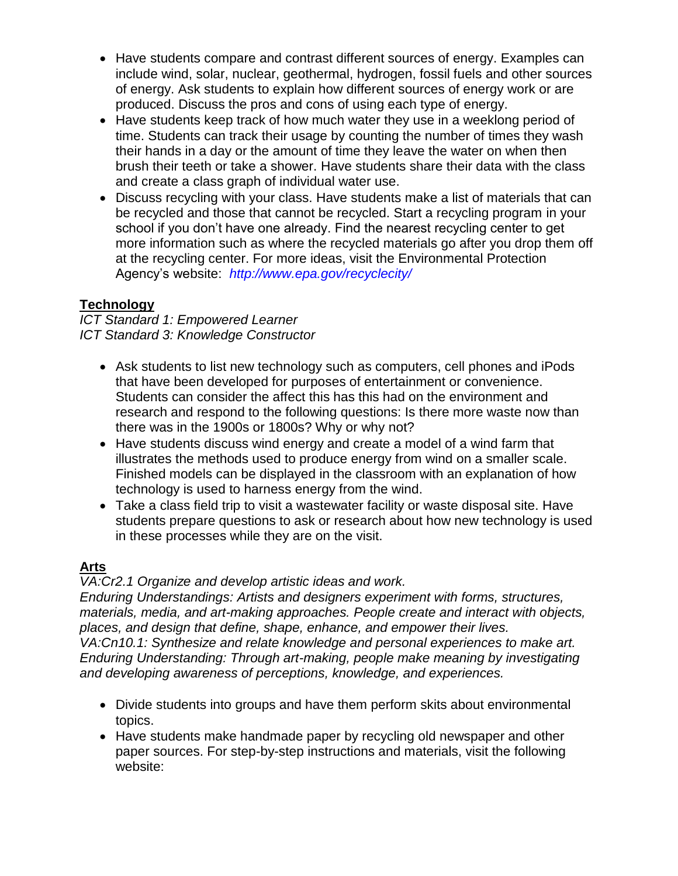- Have students compare and contrast different sources of energy. Examples can include wind, solar, nuclear, geothermal, hydrogen, fossil fuels and other sources of energy. Ask students to explain how different sources of energy work or are produced. Discuss the pros and cons of using each type of energy.
- Have students keep track of how much water they use in a weeklong period of time. Students can track their usage by counting the number of times they wash their hands in a day or the amount of time they leave the water on when then brush their teeth or take a shower. Have students share their data with the class and create a class graph of individual water use.
- Discuss recycling with your class. Have students make a list of materials that can be recycled and those that cannot be recycled. Start a recycling program in your school if you don't have one already. Find the nearest recycling center to get more information such as where the recycled materials go after you drop them off at the recycling center. For more ideas, visit the Environmental Protection Agency's website: *<http://www.epa.gov/recyclecity/>*

# **Technology**

*ICT Standard 1: Empowered Learner ICT Standard 3: Knowledge Constructor*

- Ask students to list new technology such as computers, cell phones and iPods that have been developed for purposes of entertainment or convenience. Students can consider the affect this has this had on the environment and research and respond to the following questions: Is there more waste now than there was in the 1900s or 1800s? Why or why not?
- Have students discuss wind energy and create a model of a wind farm that illustrates the methods used to produce energy from wind on a smaller scale. Finished models can be displayed in the classroom with an explanation of how technology is used to harness energy from the wind.
- Take a class field trip to visit a wastewater facility or waste disposal site. Have students prepare questions to ask or research about how new technology is used in these processes while they are on the visit.

#### **Arts**

*VA:Cr2.1 Organize and develop artistic ideas and work.*

*Enduring Understandings: Artists and designers experiment with forms, structures, materials, media, and art-making approaches. People create and interact with objects, places, and design that define, shape, enhance, and empower their lives. VA:Cn10.1: Synthesize and relate knowledge and personal experiences to make art. Enduring Understanding: Through art-making, people make meaning by investigating and developing awareness of perceptions, knowledge, and experiences.*

- Divide students into groups and have them perform skits about environmental topics.
- Have students make handmade paper by recycling old newspaper and other paper sources. For step-by-step instructions and materials, visit the following website: